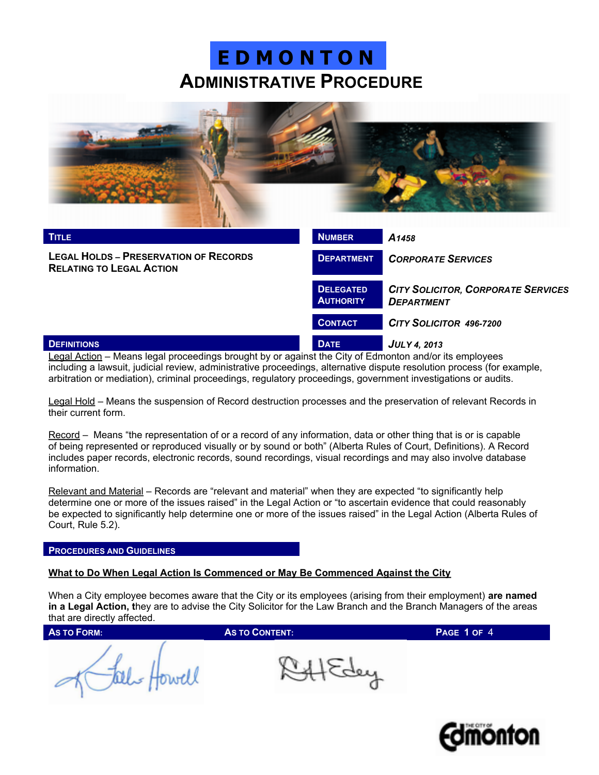

| <b>TITLE</b>                                                                    | <b>NUMBER</b>                        | A <sub>1458</sub>                                              |
|---------------------------------------------------------------------------------|--------------------------------------|----------------------------------------------------------------|
| <b>LEGAL HOLDS - PRESERVATION OF RECORDS</b><br><b>RELATING TO LEGAL ACTION</b> | <b>DEPARTMENT</b>                    | <b>CORPORATE SERVICES</b>                                      |
|                                                                                 | <b>DELEGATED</b><br><b>AUTHORITY</b> | <b>CITY SOLICITOR, CORPORATE SERVICES</b><br><b>DEPARTMENT</b> |
|                                                                                 | <b>CONTACT</b>                       | CITY SOLICITOR 496-7200                                        |
| <b>DEFINITIONS</b><br>$ -$                                                      | <b>DATE</b>                          | <b>JULY 4, 2013</b>                                            |

Legal Action – Means legal proceedings brought by or against the City of Edmonton and/or its employees including a lawsuit, judicial review, administrative proceedings, alternative dispute resolution process (for example, arbitration or mediation), criminal proceedings, regulatory proceedings, government investigations or audits.

Legal Hold – Means the suspension of Record destruction processes and the preservation of relevant Records in their current form.

Record – Means "the representation of or a record of any information, data or other thing that is or is capable of being represented or reproduced visually or by sound or both" (Alberta Rules of Court, Definitions). A Record includes paper records, electronic records, sound recordings, visual recordings and may also involve database information.

Relevant and Material – Records are "relevant and material" when they are expected "to significantly help determine one or more of the issues raised" in the Legal Action or "to ascertain evidence that could reasonably be expected to significantly help determine one or more of the issues raised" in the Legal Action (Alberta Rules of Court, Rule 5.2).

#### **PROCEDURES AND GUIDELINES**

## **What to Do When Legal Action Is Commenced or May Be Commenced Against the City**

When a City employee becomes aware that the City or its employees (arising from their employment) **are named in a Legal Action, t**hey are to advise the City Solicitor for the Law Branch and the Branch Managers of the areas that are directly affected.

**AS TO FORM: AS TO CONTENT: PAGE 1** OF 4

Fal Howell

Af Edey

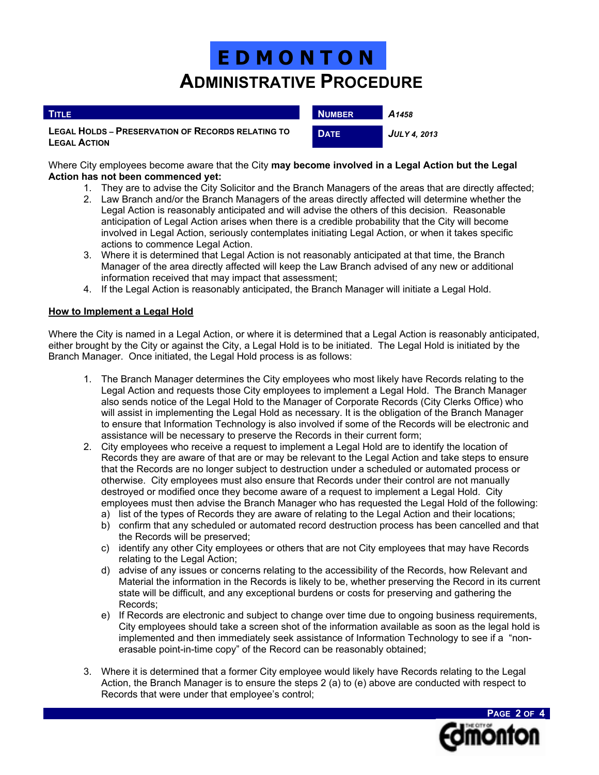| <b>TITLE</b>                                                                    | <b>NUMBER</b> | A <sub>1458</sub>   |
|---------------------------------------------------------------------------------|---------------|---------------------|
| <b>LEGAL HOLDS - PRESERVATION OF RECORDS RELATING TO</b><br><b>LEGAL ACTION</b> | <b>DATE</b>   | <b>JULY 4. 2013</b> |

Where City employees become aware that the City **may become involved in a Legal Action but the Legal Action has not been commenced yet:**

- 1. They are to advise the City Solicitor and the Branch Managers of the areas that are directly affected;
- 2. Law Branch and/or the Branch Managers of the areas directly affected will determine whether the Legal Action is reasonably anticipated and will advise the others of this decision. Reasonable anticipation of Legal Action arises when there is a credible probability that the City will become involved in Legal Action, seriously contemplates initiating Legal Action, or when it takes specific actions to commence Legal Action.
- 3. Where it is determined that Legal Action is not reasonably anticipated at that time, the Branch Manager of the area directly affected will keep the Law Branch advised of any new or additional information received that may impact that assessment;
- 4. If the Legal Action is reasonably anticipated, the Branch Manager will initiate a Legal Hold.

## **How to Implement a Legal Hold**

Where the City is named in a Legal Action, or where it is determined that a Legal Action is reasonably anticipated, either brought by the City or against the City, a Legal Hold is to be initiated. The Legal Hold is initiated by the Branch Manager. Once initiated, the Legal Hold process is as follows:

- 1. The Branch Manager determines the City employees who most likely have Records relating to the Legal Action and requests those City employees to implement a Legal Hold. The Branch Manager also sends notice of the Legal Hold to the Manager of Corporate Records (City Clerks Office) who will assist in implementing the Legal Hold as necessary. It is the obligation of the Branch Manager to ensure that Information Technology is also involved if some of the Records will be electronic and assistance will be necessary to preserve the Records in their current form;
- 2. City employees who receive a request to implement a Legal Hold are to identify the location of Records they are aware of that are or may be relevant to the Legal Action and take steps to ensure that the Records are no longer subject to destruction under a scheduled or automated process or otherwise. City employees must also ensure that Records under their control are not manually destroyed or modified once they become aware of a request to implement a Legal Hold. City employees must then advise the Branch Manager who has requested the Legal Hold of the following:
	- a) list of the types of Records they are aware of relating to the Legal Action and their locations;
	- b) confirm that any scheduled or automated record destruction process has been cancelled and that the Records will be preserved;
	- c) identify any other City employees or others that are not City employees that may have Records relating to the Legal Action;
	- d) advise of any issues or concerns relating to the accessibility of the Records, how Relevant and Material the information in the Records is likely to be, whether preserving the Record in its current state will be difficult, and any exceptional burdens or costs for preserving and gathering the Records;
	- e) If Records are electronic and subject to change over time due to ongoing business requirements, City employees should take a screen shot of the information available as soon as the legal hold is implemented and then immediately seek assistance of Information Technology to see if a "nonerasable point-in-time copy" of the Record can be reasonably obtained;
- 3. Where it is determined that a former City employee would likely have Records relating to the Legal Action, the Branch Manager is to ensure the steps 2 (a) to (e) above are conducted with respect to Records that were under that employee's control;

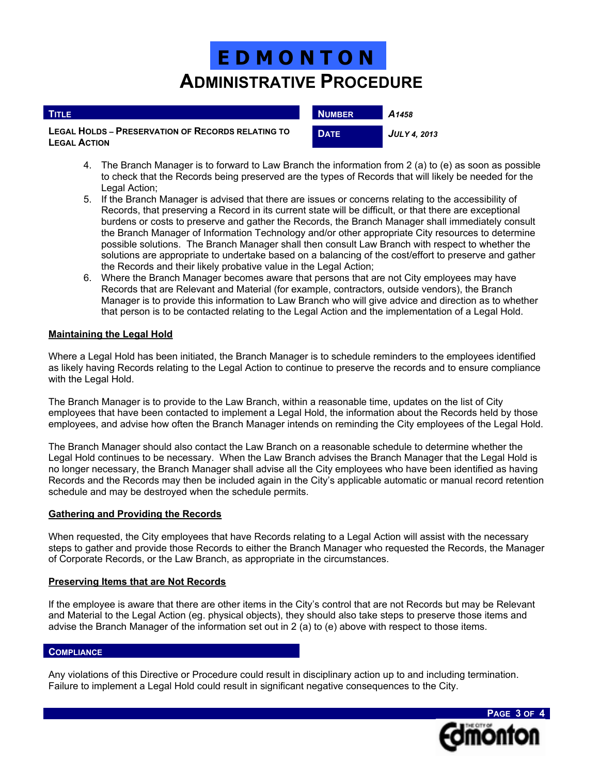| <b>TITLE</b>                                                                    | <b>NUMBER</b> | A <sub>1458</sub>   |
|---------------------------------------------------------------------------------|---------------|---------------------|
| <b>LEGAL HOLDS - PRESERVATION OF RECORDS RELATING TO</b><br><b>LEGAL ACTION</b> | <b>DATE</b>   | <b>JULY 4. 2013</b> |

- 4. The Branch Manager is to forward to Law Branch the information from 2 (a) to (e) as soon as possible to check that the Records being preserved are the types of Records that will likely be needed for the Legal Action;
- 5. If the Branch Manager is advised that there are issues or concerns relating to the accessibility of Records, that preserving a Record in its current state will be difficult, or that there are exceptional burdens or costs to preserve and gather the Records, the Branch Manager shall immediately consult the Branch Manager of Information Technology and/or other appropriate City resources to determine possible solutions. The Branch Manager shall then consult Law Branch with respect to whether the solutions are appropriate to undertake based on a balancing of the cost/effort to preserve and gather the Records and their likely probative value in the Legal Action;
- 6. Where the Branch Manager becomes aware that persons that are not City employees may have Records that are Relevant and Material (for example, contractors, outside vendors), the Branch Manager is to provide this information to Law Branch who will give advice and direction as to whether that person is to be contacted relating to the Legal Action and the implementation of a Legal Hold.

## **Maintaining the Legal Hold**

ı

Where a Legal Hold has been initiated, the Branch Manager is to schedule reminders to the employees identified as likely having Records relating to the Legal Action to continue to preserve the records and to ensure compliance with the Legal Hold.

The Branch Manager is to provide to the Law Branch, within a reasonable time, updates on the list of City employees that have been contacted to implement a Legal Hold, the information about the Records held by those employees, and advise how often the Branch Manager intends on reminding the City employees of the Legal Hold.

The Branch Manager should also contact the Law Branch on a reasonable schedule to determine whether the Legal Hold continues to be necessary. When the Law Branch advises the Branch Manager that the Legal Hold is no longer necessary, the Branch Manager shall advise all the City employees who have been identified as having Records and the Records may then be included again in the City's applicable automatic or manual record retention schedule and may be destroyed when the schedule permits.

## **Gathering and Providing the Records**

When requested, the City employees that have Records relating to a Legal Action will assist with the necessary steps to gather and provide those Records to either the Branch Manager who requested the Records, the Manager of Corporate Records, or the Law Branch, as appropriate in the circumstances.

## **Preserving Items that are Not Records**

If the employee is aware that there are other items in the City's control that are not Records but may be Relevant and Material to the Legal Action (eg. physical objects), they should also take steps to preserve those items and advise the Branch Manager of the information set out in 2 (a) to (e) above with respect to those items.

### **COMPLIANCE**

Any violations of this Directive or Procedure could result in disciplinary action up to and including termination. Failure to implement a Legal Hold could result in significant negative consequences to the City.